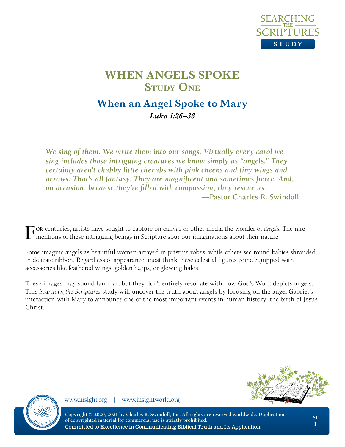

# **When an Angel Spoke to Mary**

*Luke 1:26–38*

*We sing of them. We write them into our songs. Virtually every carol we sing includes those intriguing creatures we know simply as "angels." They certainly aren't chubby little cherubs with pink cheeks and tiny wings and arrows. That's all fantasy. They are magnificent and sometimes fierce. And, on occasion, because they're filled with compassion, they rescue us.* **—Pastor Charles R. Swindoll**

**For** centuries, artists have sought to capture on canvas or other media the wonder of *angels*. The rare mentions of these intriguing beings in Scripture spur our imaginations about their nature.

Some imagine angels as beautiful women arrayed in pristine robes, while others see round babies shrouded in delicate ribbon. Regardless of appearance, most think these celestial figures come equipped with accessories like feathered wings, golden harps, or glowing halos.

These images may sound familiar, but they don't entirely resonate with how God's Word depicts angels. This *Searching the Scriptures* study will uncover the truth about angels by focusing on the angel Gabriel's interaction with Mary to announce one of the most important events in human history: the birth of Jesus Christ.



www.insight.org | www.insightworld.org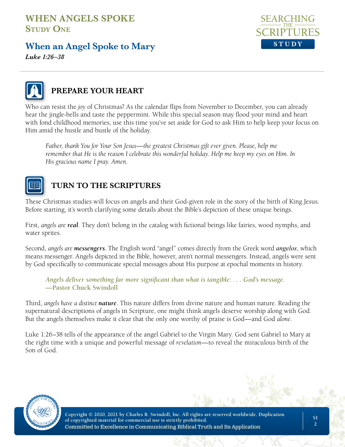## **When an Angel Spoke to Mary**







### **PREPARE YOUR HEART**

Who can resist the *joy* of Christmas? As the calendar flips from November to December, you can already hear the jingle-bells and taste the peppermint. While this special season may flood your mind and heart with fond childhood memories, use this time you've set aside for God to ask Him to help keep your focus on Him amid the hustle and bustle of the holiday.

*Father, thank You for Your Son Jesus—the greatest Christmas gift ever given. Please, help me remember that He is the reason I celebrate this wonderful holiday. Help me keep my eyes on Him. In His gracious name I pray. Amen.*



## **TURN TO THE SCRIPTURES**

These Christmas studies will focus on angels and their God-given role in the story of the birth of King Jesus. Before starting, it's worth clarifying some details about the Bible's depiction of these unique beings.

First, *angels are real*. They don't belong in the catalog with fictional beings like fairies, wood nymphs, and water sprites.

Second, *angels are messengers*. The English word "angel" comes directly from the Greek word *angelos*, which means messenger. Angels depicted in the Bible, however, aren't normal messengers. Instead, angels were sent by God specifically to communicate special messages about His purpose at epochal moments in history.

*Angels deliver something far more significant than what is tangible: . . . God's message.*  **—Pastor Chuck Swindoll**

Third, *angels have a distinct nature*. This nature differs from divine nature and human nature. Reading the supernatural descriptions of angels in Scripture, one might think angels deserve worship along with God. But the angels themselves make it clear that the only one worthy of praise is God—and God *alone*.

Luke 1:26–38 tells of the appearance of the angel Gabriel to the Virgin Mary. God sent Gabriel to Mary at the right time with a unique and powerful message of *revelation*—to reveal the miraculous birth of the Son of God.

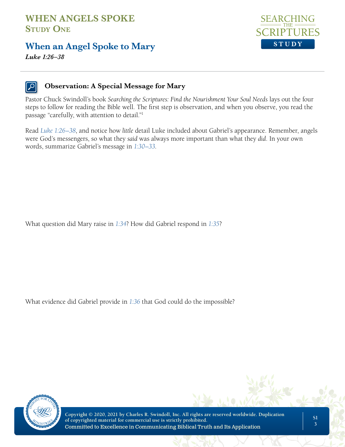#### **When an Angel Spoke to Mary**



*Luke 1:26–38*

#### **Observation: A Special Message for Mary**

Pastor Chuck Swindoll's book *Searching the Scriptures: Find the Nourishment Your Soul Needs* lays out the four steps to follow for reading the Bible well. The first step is observation, and when you observe, you read the passage "carefully, with attention to detail."1

Read *Luke 1:26–38*, and notice how *little* detail Luke included about Gabriel's appearance. Remember, angels were God's messengers, so what they *said* was always more important than what they *did*. In your own words, summarize Gabriel's message in *1:30–33*.

What question did Mary raise in *1:34*? How did Gabriel respond in *1:35*?

What evidence did Gabriel provide in *1:36* that God could do the impossible?



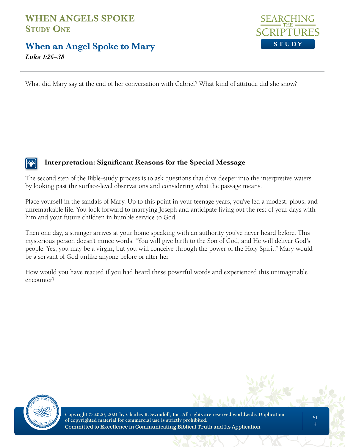#### **When an Angel Spoke to Mary**

*Luke 1:26–38*



What did Mary say at the end of her conversation with Gabriel? What kind of attitude did she show?

#### **Interpretation: Significant Reasons for the Special Message**

The second step of the Bible-study process is to ask questions that dive deeper into the interpretive waters by looking past the surface-level observations and considering what the passage means.

Place yourself in the sandals of Mary. Up to this point in your teenage years, you've led a modest, pious, and unremarkable life. You look forward to marrying Joseph and anticipate living out the rest of your days with him and your future children in humble service to God.

Then one day, a stranger arrives at your home speaking with an authority you've never heard before. This mysterious person doesn't mince words: "You will give birth to the Son of God, and He will deliver God's people. Yes, you may be a virgin, but you will conceive through the power of the Holy Spirit." Mary would be a servant of God unlike anyone before or after her.

How would you have reacted if you had heard these powerful words and experienced this unimaginable encounter?

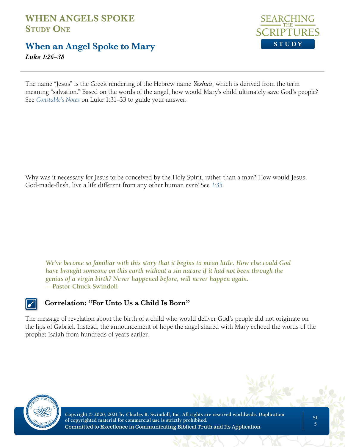#### **When an Angel Spoke to Mary**

*Luke 1:26–38*



The name "Jesus" is the Greek rendering of the Hebrew name *Yeshua*, which is derived from the term meaning "salvation." Based on the words of the angel, how would Mary's child ultimately save God's people? See *Constable's Notes* on Luke 1:31–33 to guide your answer.

Why was it necessary for Jesus to be conceived by the Holy Spirit, rather than a man? How would Jesus, God-made-flesh, live a life different from any other human ever? See *1:35*.

*We've become so familiar with this story that it begins to mean little. How else could God have brought someone on this earth without a sin nature if it had not been through the genius of a virgin birth? Never happened before, will never happen again.*  **—Pastor Chuck Swindoll**



#### **Correlation: "For Unto Us a Child Is Born"**

The message of revelation about the birth of a child who would deliver God's people did not originate on the lips of Gabriel. Instead, the announcement of hope the angel shared with Mary echoed the words of the prophet Isaiah from hundreds of years earlier.

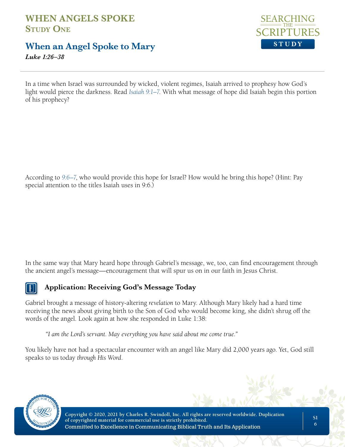## **When an Angel Spoke to Mary**

*Luke 1:26–38*



In a time when Israel was surrounded by wicked, violent regimes, Isaiah arrived to prophesy how God's light would pierce the darkness. Read *Isaiah 9:1–7*. With what message of hope did Isaiah begin this portion of his prophecy?

According to *9:6–7*, who would provide this hope for Israel? How would he bring this hope? (Hint: Pay special attention to the titles Isaiah uses in 9:6.)

In the same way that Mary heard hope through Gabriel's message, we, too, can find encouragement through the ancient angel's message—encouragement that will spur us on in our faith in Jesus Christ.



#### **Application: Receiving God's Message Today**

Gabriel brought a message of history-altering *revelation* to Mary. Although Mary likely had a hard time receiving the news about giving birth to the Son of God who would become king, she didn't shrug off the words of the angel. Look again at how she responded in Luke 1:38:

*"I am the Lord's servant. May everything you have said about me come true."*

You likely have not had a spectacular encounter with an angel like Mary did 2,000 years ago. Yet, God still speaks to us today *through His Word*.

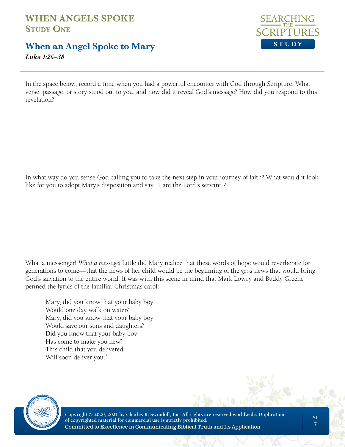## **When an Angel Spoke to Mary**

SEARCHI **STUDY**

*Luke 1:26–38*

In the space below, record a time when you had a powerful encounter with God through Scripture. What verse, passage, or story stood out to you, and how did it reveal God's message? How did you respond to this revelation?

In what way do you sense God calling you to take the next step in your journey of faith? What would it look like for you to adopt Mary's disposition and say, "I am the Lord's servant"?

What a messenger! *What a message!* Little did Mary realize that these words of hope would reverberate for generations to come—that the news of her child would be the beginning of the *good* news that would bring God's salvation to the entire world. It was with this scene in mind that Mark Lowry and Buddy Greene penned the lyrics of the familiar Christmas carol:

Mary, did you know that your baby boy Would one day walk on water? Mary, did you know that your baby boy Would save our sons and daughters? Did you know that your baby boy Has come to make you new? This child that you delivered Will soon deliver you.<sup>2</sup>